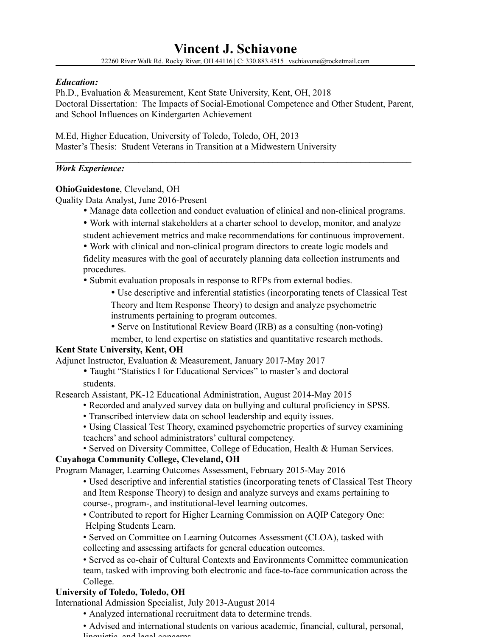## *Education:*

Ph.D., Evaluation & Measurement, Kent State University, Kent, OH, 2018 Doctoral Dissertation: The Impacts of Social-Emotional Competence and Other Student, Parent, and School Influences on Kindergarten Achievement

 $\mathcal{L}_\mathcal{L} = \{ \mathcal{L}_\mathcal{L} = \{ \mathcal{L}_\mathcal{L} = \{ \mathcal{L}_\mathcal{L} = \{ \mathcal{L}_\mathcal{L} = \{ \mathcal{L}_\mathcal{L} = \{ \mathcal{L}_\mathcal{L} = \{ \mathcal{L}_\mathcal{L} = \{ \mathcal{L}_\mathcal{L} = \{ \mathcal{L}_\mathcal{L} = \{ \mathcal{L}_\mathcal{L} = \{ \mathcal{L}_\mathcal{L} = \{ \mathcal{L}_\mathcal{L} = \{ \mathcal{L}_\mathcal{L} = \{ \mathcal{L}_\mathcal{$ 

M.Ed, Higher Education, University of Toledo, Toledo, OH, 2013 Master's Thesis: Student Veterans in Transition at a Midwestern University

## *Work Experience:*

## **OhioGuidestone**, Cleveland, OH

Quality Data Analyst, June 2016-Present

- Manage data collection and conduct evaluation of clinical and non-clinical programs.
- Work with internal stakeholders at a charter school to develop, monitor, and analyze student achievement metrics and make recommendations for continuous improvement.
- Work with clinical and non-clinical program directors to create logic models and

fidelity measures with the goal of accurately planning data collection instruments and procedures.

• Submit evaluation proposals in response to RFPs from external bodies.

• Use descriptive and inferential statistics (incorporating tenets of Classical Test

Theory and Item Response Theory) to design and analyze psychometric instruments pertaining to program outcomes.

• Serve on Institutional Review Board (IRB) as a consulting (non-voting)

member, to lend expertise on statistics and quantitative research methods.

# **Kent State University, Kent, OH**

Adjunct Instructor, Evaluation & Measurement, January 2017-May 2017

• Taught "Statistics I for Educational Services" to master's and doctoral students.

Research Assistant, PK-12 Educational Administration, August 2014-May 2015

- Recorded and analyzed survey data on bullying and cultural proficiency in SPSS.
- Transcribed interview data on school leadership and equity issues.
- Using Classical Test Theory, examined psychometric properties of survey examining teachers' and school administrators' cultural competency.

# • Served on Diversity Committee, College of Education, Health & Human Services.

# **Cuyahoga Community College, Cleveland, OH**

Program Manager, Learning Outcomes Assessment, February 2015-May 2016

- Used descriptive and inferential statistics (incorporating tenets of Classical Test Theory and Item Response Theory) to design and analyze surveys and exams pertaining to course-, program-, and institutional-level learning outcomes.
- Contributed to report for Higher Learning Commission on AQIP Category One: Helping Students Learn.
- Served on Committee on Learning Outcomes Assessment (CLOA), tasked with collecting and assessing artifacts for general education outcomes.

• Served as co-chair of Cultural Contexts and Environments Committee communication team, tasked with improving both electronic and face-to-face communication across the College.

# **University of Toledo, Toledo, OH**

International Admission Specialist, July 2013-August 2014

- Analyzed international recruitment data to determine trends.
- Advised and international students on various academic, financial, cultural, personal, linguistic, and legal concerns.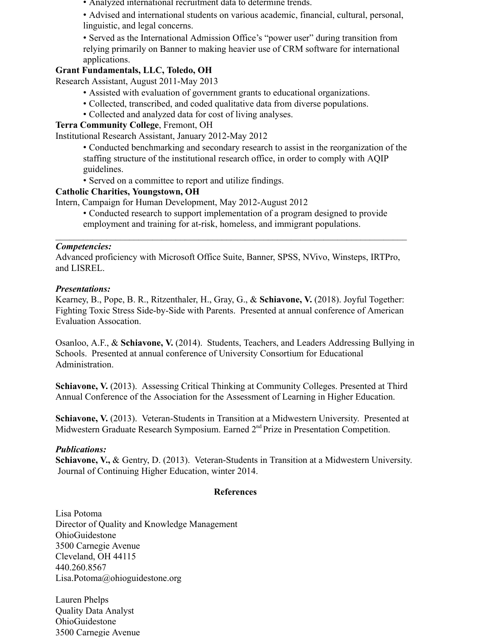• Analyzed international recruitment data to determine trends.

• Advised and international students on various academic, financial, cultural, personal, linguistic, and legal concerns.

• Served as the International Admission Office's "power user" during transition from relying primarily on Banner to making heavier use of CRM software for international applications.

# **Grant Fundamentals, LLC, Toledo, OH**

Research Assistant, August 2011-May 2013

- Assisted with evaluation of government grants to educational organizations.
- Collected, transcribed, and coded qualitative data from diverse populations.
- Collected and analyzed data for cost of living analyses.

# **Terra Community College**, Fremont, OH

Institutional Research Assistant, January 2012-May 2012

• Conducted benchmarking and secondary research to assist in the reorganization of the staffing structure of the institutional research office, in order to comply with AQIP guidelines.

• Served on a committee to report and utilize findings.

# **Catholic Charities, Youngstown, OH**

Intern, Campaign for Human Development, May 2012-August 2012

• Conducted research to support implementation of a program designed to provide employment and training for at-risk, homeless, and immigrant populations.

 $\mathcal{L}_\text{max}$  and  $\mathcal{L}_\text{max}$  and  $\mathcal{L}_\text{max}$  and  $\mathcal{L}_\text{max}$  and  $\mathcal{L}_\text{max}$  and  $\mathcal{L}_\text{max}$ 

# *Competencies:*

Advanced proficiency with Microsoft Office Suite, Banner, SPSS, NVivo, Winsteps, IRTPro, and LISREL.

# *Presentations:*

Kearney, B., Pope, B. R., Ritzenthaler, H., Gray, G., & **Schiavone, V.** (2018). Joyful Together: Fighting Toxic Stress Side-by-Side with Parents. Presented at annual conference of American Evaluation Assocation.

Osanloo, A.F., & **Schiavone, V.** (2014). Students, Teachers, and Leaders Addressing Bullying in Schools. Presented at annual conference of University Consortium for Educational Administration.

**Schiavone, V.** (2013). Assessing Critical Thinking at Community Colleges. Presented at Third Annual Conference of the Association for the Assessment of Learning in Higher Education.

Schiavone, V. (2013). Veteran-Students in Transition at a Midwestern University. Presented at Midwestern Graduate Research Symposium. Earned 2<sup>nd</sup> Prize in Presentation Competition.

# *Publications:*

Schiavone, V., & Gentry, D. (2013). Veteran-Students in Transition at a Midwestern University. Journal of Continuing Higher Education, winter 2014.

# **References**

Lisa Potoma Director of Quality and Knowledge Management OhioGuidestone 3500 Carnegie Avenue Cleveland, OH 44115 440.260.8567 Lisa.Potoma@ohioguidestone.org

Lauren Phelps Quality Data Analyst OhioGuidestone 3500 Carnegie Avenue